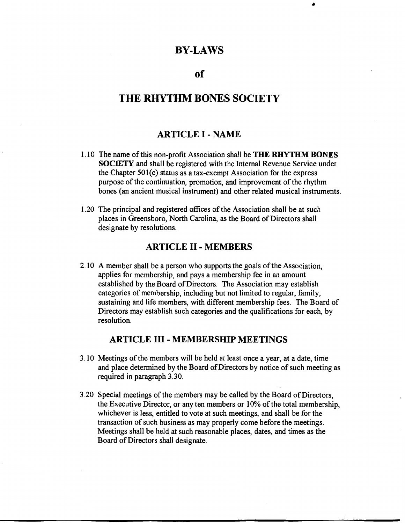# **BY-LAWS**

•

## **of**

# **THE RHYTHM BONES SOCIETY**

### **ARTICLE** I - **NAME**

- 1.10 The name of this non-profit Association shall be **THE RHYTHM BONES SOCIETY** and shall be registered with the Internal Revenue Service under the Chapter 501(c) status as a tax-exempt Association for the express purpose of the continuation, promotion, and improvement of the rhythm bones (an ancient musical instrument) and other related musical instruments.
- 1.20 The principal and registered offices of the Association shall be at such places in Greensboro, North Carolina, as the Board of Directors shall designate by resolutions.

#### **ARTICLE** II - **MEMBERS**

2.10 A member shall be a person who supports the goals of the Association, applies for membership, and pays a membership fee in an amount established by the Board of Directors. The Association may establish categories of membership, including but not limited to regular, family, sustaining and life members, with different membership fees. The Board of Directors may establish such categories and the qualifications for each, by resolution.

### **ARTICLE** III - **MEMBERSHIP MEETINGS**

- 3 .10 Meetings of the members will be held at least once a year, at a date, time and place determined by the Board of Directors by notice of such meeting as required in paragraph 3.30.
- 3 .20 Special meetings of the members may be called by the Board of Directors, the Executive Director, or any ten members or 10% of the total membership, whichever is less, entitled to vote at such meetings, and shall be for the transaction of such business as may properly come before the meetings. Meetings shall be held at such reasonable places, dates, and times as the Board of Directors shall designate.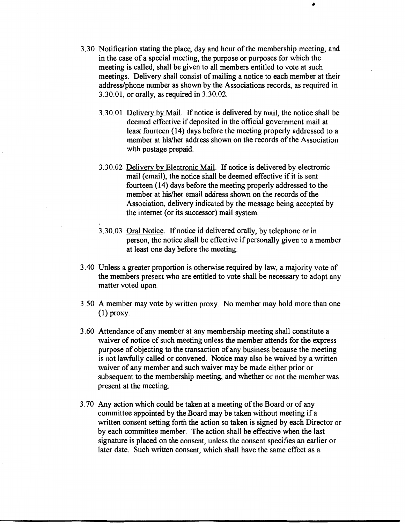- 3.30 Notification stating the place, day and hour of the membership meeting, and in the case of a special meeting, the purpose or purposes for which the meeting is called, shall be given to all members entitled to vote at such meetings. Delivery shall consist of mailing a notice to each member at their address/phone number as shown by the Associations records, as required in 3.30.01, or orally, as required in 3.30.02.
	- 3.30.01 Delivery by Mail. If notice is delivered by mail, the notice shall be deemed effective if deposited in the official government mail at least fourteen (14) days before the meeting properly addressed to a member at his/her address shown on the records of the Association with postage prepaid.
	- 3.30.02 Delivery by Electronic Mail. If notice is delivered by electronic mail (email), the notice shall be deemed effective if it is sent fourteen (14) days before the meeting properly addressed to the member at his/her email address shown on the records of the Association, delivery indicated by the message being accepted by the internet (or its successor) mail system.
	- 3.30.03 Oral Notice. If notice id delivered orally, by telephone or in person, the notice shall be effective if personally given to a member at least one day before the meeting.
- 3.40 Unless a greater proportion is otherwise required by law, a majority vote of the members present who are entitled to vote shall be necessary to adopt any matter voted upon.
- 3.50 A member may vote by written proxy. No member may hold more than one  $(1)$  proxy.
- 3.60 Attendance of any member at any membership meeting shall constitute a waiver of notice of such meeting unless the member attends for the express purpose of objecting to the transaction of any business because the meeting is not lawfully called or convened. Notice may also be waived by a written waiver of any member and such waiver may be made either prior or subsequent to the membership meeting, and whether or not the member was present at the meeting.
- 3. 70 Any action which could be taken at a meeting of the Board or of any committee appointed by the Board may be taken without meeting if a written consent setting forth the action so taken is signed by each Director or by each committee member. The action shall be effective when the last signature is placed on the consent, unless the consent specifies an earlier or later date. Such written consent, which shall have the same effect as a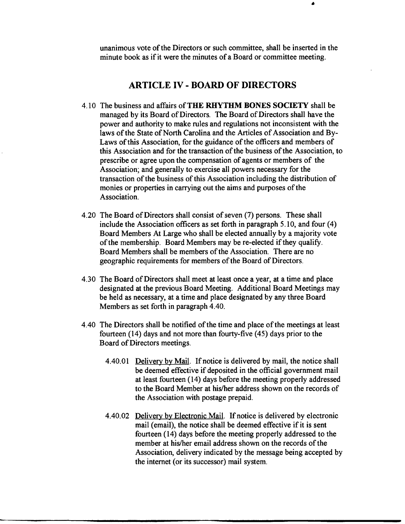unanimous vote of the Directors or such committee, shall be inserted in the minute book as if it were the minutes of a Board or committee meeting.

### **ARTICLE IV** - **BOARD OF DIRECTORS**

- 4.10 The business and affairs of **THE RHYTHM BONES SOCIETY** shall be managed by its Board of Directors. The Board of Directors shall have the power and authority to make rules and regulations not inconsistent with the laws of the State of North Carolina and the Articles of Association and By-Laws of this Association, for the guidance of the officers and members of this Association and for the transaction of the business of the Association, to prescribe or agree upon the compensation of agents or members of the Association; and generally to exercise all powers necessary for the transaction of the business of this Association including the distribution of monies or properties in carrying out the aims and purposes of the Association.
- 4.20 The Board of Directors shall consist of seven (7) persons. These shall include the Association officers as set forth in paragraph 5.10, and four (4) Board Members At Large who shall be elected annually by a majority vote of the membership. Board Members may be re-elected if they qualify. Board Members shall be members of the Association. There are no geographic requirements for members of the Board of Directors.
- 4.30 The Board of Directors shall meet at least once a year, at a time and place designated at the previous Board Meeting. Additional Board Meetings may be held as necessary, at a time and place designated by any three Board Members as set forth in paragraph 4.40.
- 4.40 The Directors shall be notified of the time and place of the meetings at least fourteen (14) days and not more than fourty-five (45) days prior to the Board of Directors meetings.
	- 4.40.01 Delivery by Mail. If notice is delivered by mail, the notice shall be deemed effective if deposited in the official government mail at least fourteen (14) days before the meeting properly addressed to the Board Member at his/her address shown on the records of the Association with postage prepaid.
	- 4.40.02 Delivery by Electronic Mail. If notice is delivered by electronic mail (email), the notice shall be deemed effective if it is sent fourteen (14) days before the meeting properly addressed to the member at his/her email address shown on the records of the Association, delivery indicated by the message being accepted by the internet (or its successor) mail system.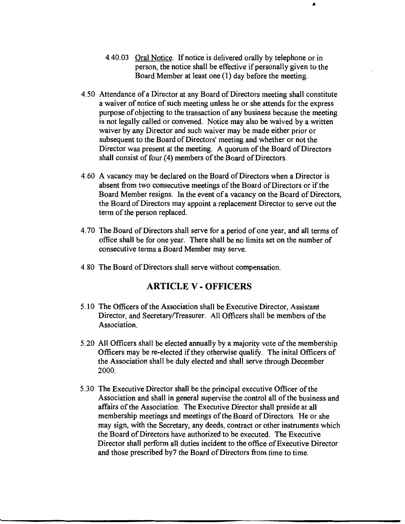- 4.40.03 Oral Notice. If notice is delivered orally by telephone or in person, the notice shall be effective if personally given to the Board Member at least one (1) day before the meeting.
- 4.50 Attendance of a Director at any Board of Directors meeting shall constitute a waiver of notice of such meeting unless he or she attends for the express purpose of objecting to the transaction of any business because the meeting is not legally called or convened. Notice may also be waived by a written waiver by any Director and such waiver may be made either prior or subsequent to the Board of Directors' meeting and whether or not the Director was present at the meeting. A quorum of the Board of Directors shall consist of four (4) members of the Board of Directors.
- 4.60 A vacancy may be declared on the Board of Directors when a Director is absent from two consecutive meetings of the Board of Directors or if the Board Member resigns. In the event of a vacancy on the Board of Directors, the Board of Directors may appoint a replacement Director to serve out the term of the person replaced.
- 4. 70 The Board of Directors shall serve for a period of one year, and all terms of office shall be for one year. There shall be no limits set on the number of consecutive terms a Board Member may serve.
- 4.80 The Board of Directors shall serve without compensation.

# **ARTICLE V - OFFICERS**

- 5.10 The Officers of the Association shall be Executive Director, Assistant Director, and Secretary/Treasurer. All Officers shall be members of the Association.
- 5.20 All Officers shall be elected annually by a majority vote of the membership. Officers may be re-elected if they otherwise qualify. The inital Officers of the Association shall be duly elected and shall serve through December 2000.
- 5.30 The Executive Director shall be the principal executive Officer of the Association and shall in general supervise the control all of the business and affairs of the Association. The Executive Director shall preside at all membership meetings and meetings of the Board of Directors. He or she may sign, with the Secretary, any deeds, contract or other instruments which the Board of Directors have authorized to be executed. The Executive Director shall perform all duties incident to the office of Executive Director and those prescribed by7 the Board of Directors from time to time.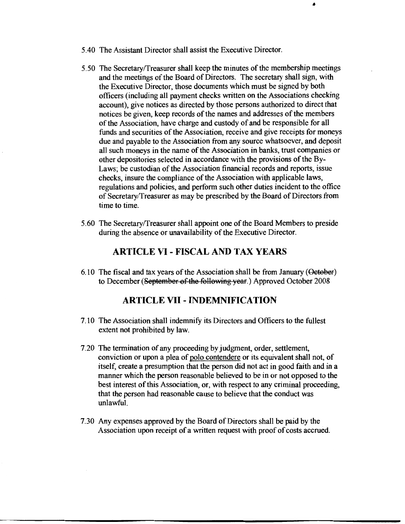- 5.40 The Assistant Director shall assist the Executive Director.
- *5.50* The Secretary/Treasurer shall keep the minutes of the membership meetings and the meetings of the Board of Directors. The secretary shall sign, with the Executive Director, those documents which must be signed by both officers (including all payment checks written on the Associations checking account), give notices as directed by those persons authorized to direct that notices be given, keep records of the names and addresses of the members of the Association, have charge and custody of and be responsible for all funds and securities of the Association, receive and give receipts for moneys due and payable to the Association from any source whatsoever, and deposit all such moneys in the name of the Association in banks, trust companies or other depositories selected in accordance with the provisions of the By-Laws; be custodian of the Association financial records and reports, issue checks, insure the compliance of the Association with applicable laws, regulations and policies, and perform such other duties incident to the office of Secretary/Treasurer as may be prescribed by the Board of Directors from time to time.

•

5.60 The Secretary/Treasurer shall appoint one of the Board Members to preside during the absence or unavailability of the Executive Director.

## **ARTICLE VI - FISCAL AND TAX YEARS**

6.10 The fiscal and tax years of the Association shall be from January (Oeteber) to December (September of the following year.) Approved October 2008

### **ARTICLE VII - INDEMNIFICATION**

- 7.10 The Association shall indemnify its Directors and Officers to the fullest extent not prohibited by law.
- 7.20 The termination of any proceeding by judgment, order, settlement, conviction or upon a plea of polo contendere or its equivalent shall not, of itself, create a presumption that the person did not act in good faith and in a manner which the person reasonable believed to be in or not opposed to the best interest of this Association, or, with respect to any criminal proceeding, that the person had reasonable cause to believe that the conduct was unlawful.
- 7.30 Any expenses approved by the Board of Directors shall be paid by the Association upon receipt of a written request with proof of costs accrued.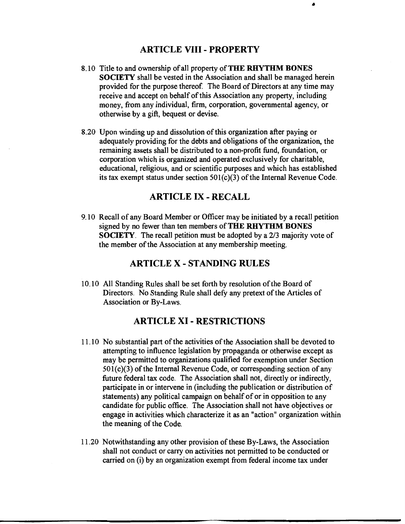# **ARTICLE VIII** - **PROPERTY**

•

- 8.10 Title to and ownership of all property of **THE RHYTHM BONES SOCIETY** shall be vested in the Association and shall be managed herein provided for the purpose thereof. The Board of Directors at any time may receive and accept on behalf of this Association any property, including money, from any individual, firm, corporation, governmental agency, or otherwise by a gift, bequest or devise.
- 8.20 Upon winding up and dissolution of this organization after paying or adequately providing for the debts and obligations of the organization, the remaining assets shall be distributed to a non-profit fund, foundation, or corporation which is organized and operated exclusively for charitable, educational, religious, and or scientific purposes and which has established its tax exempt status under section 501(c)(3) of the Internal Revenue Code.

### **ARTICLE IX** - **RECALL**

9.10 Recall of any Board Member or Officer may be initiated by a recall petition signed by no fewer than ten members of **THE RHYTHM BONES SOCIETY**. The recall petition must be adopted by a 2/3 majority vote of the member of the Association at any membership meeting.

### **ARTICLE X** - **STANDING RULES**

10.10 All Standing Rules shall be set forth by resolution of the Board of Directors. No Standing Rule shall defy any pretext of the Articles of Association or By-Laws.

## **ARTICLE XI** - **RESTRICTIONS**

- 11.10 No substantial part of the activities of the Association shall be devoted to attempting to influence legislation by propaganda or otherwise except as may be permitted to organizations qualified for exemption under Section  $501(c)(3)$  of the Internal Revenue Code, or corresponding section of any future federal tax code. The Association shall not, directly or indirectly, participate in or intervene in (including the publication or distribution of statements) any political campaign on behalf of or in opposition to any candidate for public office. The Association shall not have objectives or engage in activities which characterize it as an "action" organization within the meaning of the Code.
- 11.20 Notwithstanding any other provision of these By-Laws, the Association shall not conduct or carry on activities not permitted to be conducted or carried on (i) by an organization exempt from federal income tax under